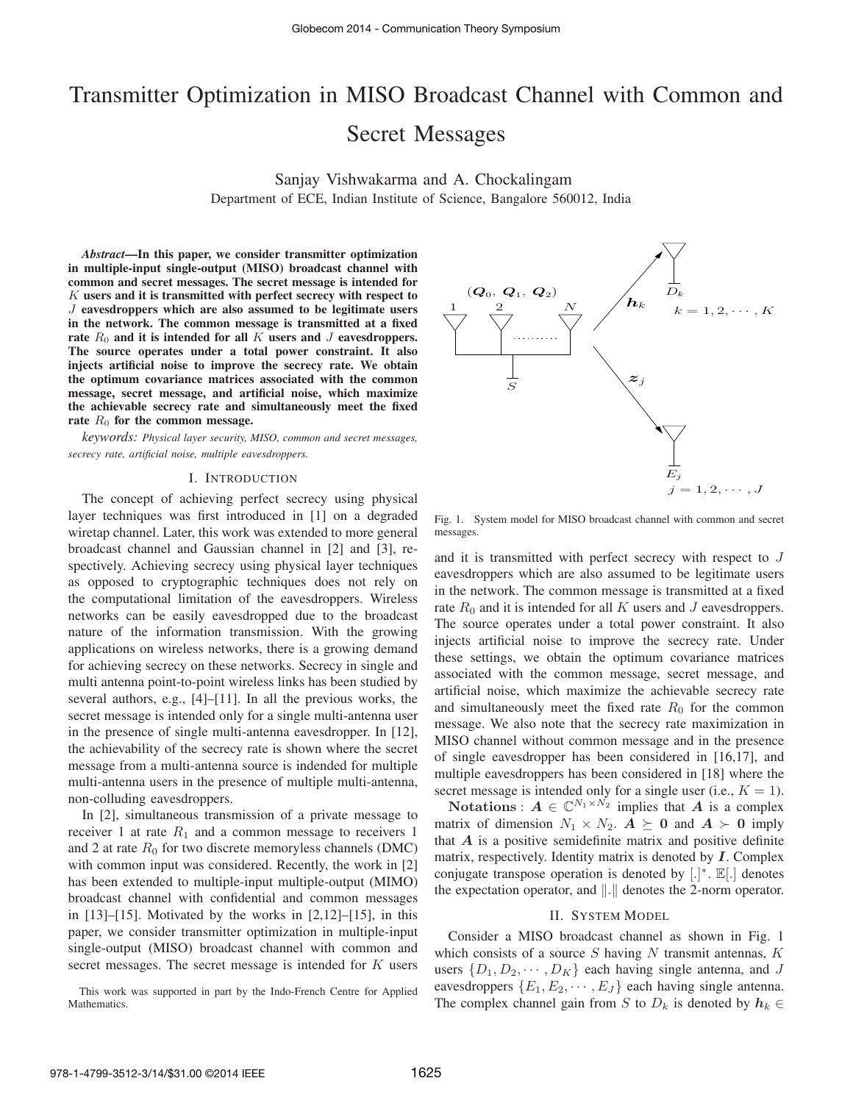# Transmitter Optimization in MISO Broadcast Channel with Common and Secret Messages

Sanjay Vishwakarma and A. Chockalingam Department of ECE, Indian Institute of Science, Bangalore 560012, India

*Abstract*—In this paper, we consider transmitter optimization in multiple-input single-output (MISO) broadcast channel with common and secret messages. The secret message is intended for  $K$  users and it is transmitted with perfect secrecy with respect to J eavesdroppers which are also assumed to be legitimate users in the network. The common message is transmitted at a fixed rate  $R_0$  and it is intended for all K users and J eavesdroppers. The source operates under a total power constraint. It also injects artificial noise to improve the secrecy rate. We obtain the optimum covariance matrices associated with the common message, secret message, and artificial noise, which maximize the achievable secrecy rate and simultaneously meet the fixed rate  $R_0$  for the common message.

*keywords: Physical layer security, MISO, common and secret messages, secrecy rate, artificial noise, multiple eavesdroppers.*

#### I. INTRODUCTION

The concept of achieving perfect secrecy using physical layer techniques was first introduced in [1] on a degraded wiretap channel. Later, this work was extended to more general broadcast channel and Gaussian channel in [2] and [3], respectively. Achieving secrecy using physical layer techniques as opposed to cryptographic techniques does not rely on the computational limitation of the eavesdroppers. Wireless networks can be easily eavesdropped due to the broadcast nature of the information transmission. With the growing applications on wireless networks, there is a growing demand for achieving secrecy on these networks. Secrecy in single and multi antenna point-to-point wireless links has been studied by several authors, e.g., [4]–[11]. In all the previous works, the secret message is intended only for a single multi-antenna user in the presence of single multi-antenna eavesdropper. In [12], the achievability of the secrecy rate is shown where the secret message from a multi-antenna source is indended for multiple multi-antenna users in the presence of multiple multi-antenna, non-colluding eavesdroppers.

In [2], simultaneous transmission of a private message to receiver 1 at rate  $R_1$  and a common message to receivers 1 and 2 at rate  $R_0$  for two discrete memoryless channels (DMC) with common input was considered. Recently, the work in [2] has been extended to multiple-input multiple-output (MIMO) broadcast channel with confidential and common messages in  $[13]$ – $[15]$ . Motivated by the works in  $[2,12]$ – $[15]$ , in this paper, we consider transmitter optimization in multiple-input single-output (MISO) broadcast channel with common and secret messages. The secret message is intended for K users

This work was supported in part by the Indo-French Centre for Applied Mathematics.



Fig. 1. System model for MISO broadcast channel with common and secret messages.

and it is transmitted with perfect secrecy with respect to J eavesdroppers which are also assumed to be legitimate users in the network. The common message is transmitted at a fixed rate  $R_0$  and it is intended for all K users and J eavesdroppers. The source operates under a total power constraint. It also injects artificial noise to improve the secrecy rate. Under these settings, we obtain the optimum covariance matrices associated with the common message, secret message, and artificial noise, which maximize the achievable secrecy rate and simultaneously meet the fixed rate  $R_0$  for the common message. We also note that the secrecy rate maximization in MISO channel without common message and in the presence of single eavesdropper has been considered in [16,17], and multiple eavesdroppers has been considered in [18] where the secret message is intended only for a single user (i.e.,  $K = 1$ ).

**Notations**:  $A \in \mathbb{C}^{N_1 \times N_2}$  implies that A is a complex matrix of dimension  $N_1 \times N_2$ .  $A \succeq 0$  and  $A \succ 0$  imply that  $A$  is a positive semidefinite matrix and positive definite matrix, respectively. Identity matrix is denoted by  $I$ . Complex conjugate transpose operation is denoted by [.]\*. E[.] denotes the expectation operator, and  $\Vert . \Vert$  denotes the 2-norm operator.

#### II. SYSTEM MODEL

Consider a MISO broadcast channel as shown in Fig. 1 which consists of a source  $S$  having  $N$  transmit antennas,  $K$ users  $\{D_1, D_2, \cdots, D_K\}$  each having single antenna, and J eavesdroppers  $\{E_1, E_2, \cdots, E_J\}$  each having single antenna. The complex channel gain from S to  $D_k$  is denoted by  $h_k \in$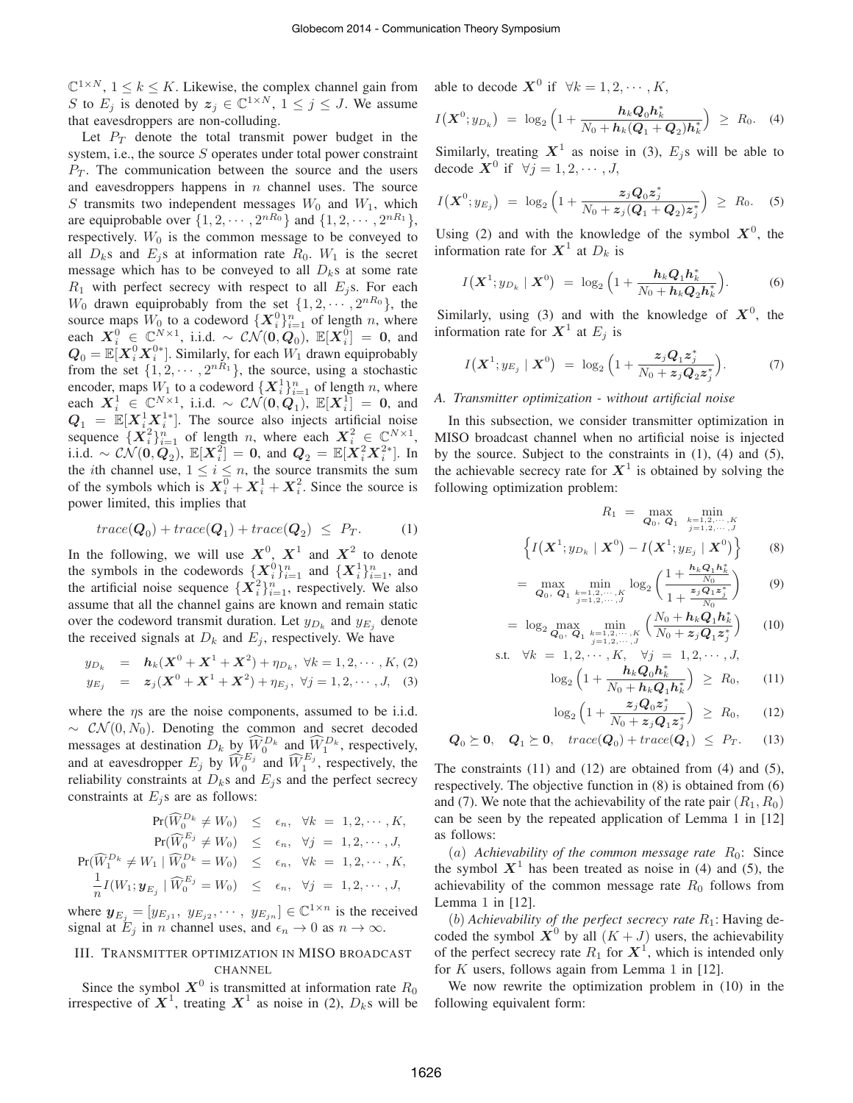$\mathbb{C}^{1 \times N}$ ,  $1 \leq k \leq K$ . Likewise, the complex channel gain from S to  $E_j$  is denoted by  $z_j \in \mathbb{C}^{1 \times N}$ ,  $1 \le j \le J$ . We assume that eavesdroppers are non-colluding.

Let  $P_T$  denote the total transmit power budget in the system, i.e., the source  $S$  operates under total power constraint  $P_T$ . The communication between the source and the users and eavesdroppers happens in  $n$  channel uses. The source S transmits two independent messages  $W_0$  and  $W_1$ , which are equiprobable over  $\{1, 2, \cdots, 2^{nR_0}\}\$  and  $\{1, 2, \cdots, 2^{nR_1}\}\$ , respectively.  $W_0$  is the common message to be conveyed to all  $D_k$ s and  $E_j$ s at information rate  $R_0$ .  $W_1$  is the secret message which has to be conveyed to all  $D_k$ s at some rate  $R_1$  with perfect secrecy with respect to all  $E_j$ s. For each  $W_0$  drawn equiprobably from the set  $\{1, 2, \cdots, 2^{nR_0}\},$  the source maps  $W_0$  to a codeword  $\{X_i^0\}_{i=1}^n$  of length n, where each  $X_i^0 \in \mathbb{C}^{N \times 1}$ , i.i.d. ~  $\mathcal{CN}(\mathbf{0}, \mathbf{Q}_0)$ ,  $\mathbb{E}[X_i^0] = \mathbf{0}$ , and  $Q_0 = \mathbb{E}[X_i^0 X_i^{0*}]$ . Similarly, for each  $W_1$  drawn equiprobably from the set  $\{1, 2, \dots, 2^{nR_1}\}$ , the source, using a stochastic encoder, maps  $W_1$  to a codeword  $\{X_i^1\}_{i=1}^n$  of length n, where each  $X_i^1 \in \mathbb{C}^{N \times 1}$ , i.i.d. ~  $CN(\mathbf{0}, \mathbf{Q}_1)$ ,  $\mathbb{E}[X_i^1] = \mathbf{0}$ , and  $Q_1 = \mathbb{E}[X_i^1 X_i^{1*}]$ . The source also injects artificial noise sequence  $\{X_i^2\}_{i=1}^n$  of length n, where each  $X_i^2 \in \mathbb{C}^{N \times 1}$ , i.i.d. ∼  $CN(0,Q_2), \mathbb{E}[X_i^2] = 0$ , and  $Q_2 = \mathbb{E}[X_i^2 X_i^{2*}]$ . In the *i*th channel use,  $1 \le i \le n$ , the source transmits the sum of the symbols which is  $X_i^0 + X_i^1 + X_i^2$ . Since the source is power limited, this implies that

$$
trace(\mathbf{Q}_0) + trace(\mathbf{Q}_1) + trace(\mathbf{Q}_2) \leq P_T.
$$
 (1)

In the following, we will use  $X^0$ ,  $X^1$  and  $X^2$  to denote the symbols in the codewords  $\{X_i^0\}_{i=1}^n$  and  $\{X_i^1\}_{i=1}^n$ , and the artificial noise sequence  $\{X_i^2\}_{i=1}^n$ , respectively. We also assume that all the channel gains are known and remain static over the codeword transmit duration. Let  $y_{D_k}$  and  $y_{E_j}$  denote the received signals at  $D_k$  and  $E_j$ , respectively. We have

$$
y_{D_k} = \mathbf{h}_k(\mathbf{X}^0 + \mathbf{X}^1 + \mathbf{X}^2) + \eta_{D_k}, \ \forall k = 1, 2, \cdots, K, (2)
$$
  
\n
$$
y_{E_j} = z_j(\mathbf{X}^0 + \mathbf{X}^1 + \mathbf{X}^2) + \eta_{E_j}, \ \forall j = 1, 2, \cdots, J, \quad (3)
$$

where the  $\eta s$  are the noise components, assumed to be i.i.d.  $\sim \mathcal{CN}(0, N_0)$ . Denoting the common and secret decoded messages at destination  $D_k$  by  $\widehat{W}_0^{D_k}$  and  $\widehat{W}_1^{D_k}$ , respectively, and at eavesdropper  $E_j$  by  $\widehat{W}_0^{E_j}$  and  $\widehat{W}_1^{E_j}$ , respectively, the reliability constraints at  $D_k$ s and  $E_j$ s and the perfect secrecy constraints at  $E_j$ s are as follows:

$$
\Pr(\widehat{W}_0^{D_k} \neq W_0) \leq \epsilon_n, \ \forall k = 1, 2, \cdots, K,
$$
  
\n
$$
\Pr(\widehat{W}_0^{E_j} \neq W_0) \leq \epsilon_n, \ \forall j = 1, 2, \cdots, J,
$$
  
\n
$$
\Pr(\widehat{W}_1^{D_k} \neq W_1 \mid \widehat{W}_0^{D_k} = W_0) \leq \epsilon_n, \ \forall k = 1, 2, \cdots, K,
$$
  
\n
$$
\frac{1}{n} I(W_1; \mathbf{y}_{E_j} \mid \widehat{W}_0^{E_j} = W_0) \leq \epsilon_n, \ \forall j = 1, 2, \cdots, J,
$$

where  $\mathbf{y}_{E_j} = [y_{E_{j1}}, y_{E_{j2}}, \cdots, y_{E_{jn}}] \in \mathbb{C}^{1 \times n}$  is the received signal at  $E_i$  in n channel uses, and  $\epsilon_n \to 0$  as  $n \to \infty$ .

# III. TRANSMITTER OPTIMIZATION IN MISO BROADCAST CHANNEL

Since the symbol  $X^0$  is transmitted at information rate  $R_0$  irrespective of  $X^1$ , treating  $X^1$  as noise in (2),  $D_k$ s will be

able to decode  $\mathbf{X}^0$  if  $\forall k = 1, 2, \cdots, K$ ,

$$
I(\boldsymbol{X}^{0}; y_{D_{k}}) = \log_{2} \left( 1 + \frac{\boldsymbol{h}_{k} \boldsymbol{Q}_{0} \boldsymbol{h}_{k}^{*}}{N_{0} + \boldsymbol{h}_{k} (\boldsymbol{Q}_{1} + \boldsymbol{Q}_{2}) \boldsymbol{h}_{k}^{*}} \right) \geq R_{0}. \quad (4)
$$

Similarly, treating  $X^1$  as noise in (3),  $E_j$ s will be able to decode  $\mathbf{X}^0$  if  $\forall j = 1, 2, \cdots, J$ ,

$$
I(\mathbf{X}^{0}; y_{E_j}) = \log_2 \left( 1 + \frac{z_j Q_0 z_j^*}{N_0 + z_j (Q_1 + Q_2) z_j^*} \right) \geq R_0.
$$
 (5)

Using (2) and with the knowledge of the symbol  $X^0$ , the information rate for  $X^1$  at  $D_k$  is

$$
I(\mathbf{X}^{1};y_{D_{k}}\mid\mathbf{X}^{0}) = \log_{2}\left(1+\frac{\mathbf{h}_{k}\mathbf{Q}_{1}\mathbf{h}_{k}^{*}}{N_{0}+\mathbf{h}_{k}\mathbf{Q}_{2}\mathbf{h}_{k}^{*}}\right).
$$
 (6)

Similarly, using (3) and with the knowledge of  $X^0$ , the information rate for  $X^1$  at  $E_j$  is

$$
I\big(\boldsymbol{X}^1; y_{E_j} \mid \boldsymbol{X}^0\big) = \log_2\Big(1 + \frac{z_j \boldsymbol{Q}_1 z_j^*}{N_0 + z_j \boldsymbol{Q}_2 z_j^*}\Big). \tag{7}
$$

## *A. Transmitter optimization - without artificial noise*

In this subsection, we consider transmitter optimization in MISO broadcast channel when no artificial noise is injected by the source. Subject to the constraints in (1), (4) and (5), the achievable secrecy rate for  $X^1$  is obtained by solving the following optimization problem:

$$
R_1 = \max_{\mathbf{Q}_0, \ \mathbf{Q}_1} \min_{\substack{k=1, 2, \cdots, K \\ j=1, 2, \cdots, J}} \left\{ I\left(\mathbf{X}^1; y_{D_k} \mid \mathbf{X}^0\right) - I\left(\mathbf{X}^1; y_{E_j} \mid \mathbf{X}^0\right) \right\} \tag{8}
$$

$$
= \max_{\mathbf{Q}_0, \ \mathbf{Q}_1} \min_{\substack{k=1,2,\cdots,K \\ j=1,2,\cdots,J}} \log_2 \left( \frac{1 + \frac{\mathbf{h}_k \mathbf{Q}_1 \mathbf{h}_k^*}{N_0}}{1 + \frac{\mathbf{z}_j \mathbf{Q}_1 \mathbf{z}_j^*}{N_0}} \right) \tag{9}
$$

$$
= \log_2 \max_{\mathbf{Q}_0, \ \mathbf{Q}_1} \min_{\substack{k=1,2,\cdots,K \\ j=1,2,\cdots,J}} \left( \frac{N_0 + \mathbf{h}_k \mathbf{Q}_1 \mathbf{h}_k^*}{N_0 + \mathbf{z}_j \mathbf{Q}_1 \mathbf{z}_j^*} \right) \tag{10}
$$

s.t. 
$$
\forall k = 1, 2, \cdots, K, \quad \forall j = 1, 2, \cdots, J,
$$
  

$$
\log_2 \left( 1 + \frac{\mathbf{h}_k \mathbf{Q}_0 \mathbf{h}_k^*}{N - \mathbf{h}_k \mathbf{Q}_0 \mathbf{h}_k^*} \right) \ge R_0, \quad (11)
$$

$$
\log_2(1 + \frac{z_j Q_0 z_j^*}{N_0 + h_k Q_1 h_k^*}) \leq N_0,
$$
\n
$$
\log_2(1 + \frac{z_j Q_0 z_j^*}{N_0 + h_k Q_1 h_k^*}) \geq R_0
$$
\n(12)

$$
\log_2\left(1 + \frac{y_1 \mathbf{v}_0 \cdot y}{N_0 + z_j Q_1 z_j^*}\right) \ge R_0, \qquad (12)
$$

$$
Q_0 \succeq 0, \quad Q_1 \succeq 0, \quad trace(Q_0) + trace(Q_1) \leq P_T. \tag{13}
$$

The constraints  $(11)$  and  $(12)$  are obtained from  $(4)$  and  $(5)$ , respectively. The objective function in (8) is obtained from (6) and (7). We note that the achievability of the rate pair  $(R_1, R_0)$ can be seen by the repeated application of Lemma 1 in [12] as follows:

(a) Achievability of the common message rate  $R_0$ : Since the symbol  $X^1$  has been treated as noise in (4) and (5), the achievability of the common message rate  $R_0$  follows from Lemma 1 in [12].

(b) Achievability of the perfect secrecy rate  $R_1$ : Having decoded the symbol  $\mathbf{X}^0$  by all  $(K+J)$  users, the achievability of the perfect secrecy rate  $R_1$  for  $\boldsymbol{X}^1$ , which is intended only for  $K$  users, follows again from Lemma 1 in [12].

We now rewrite the optimization problem in (10) in the following equivalent form: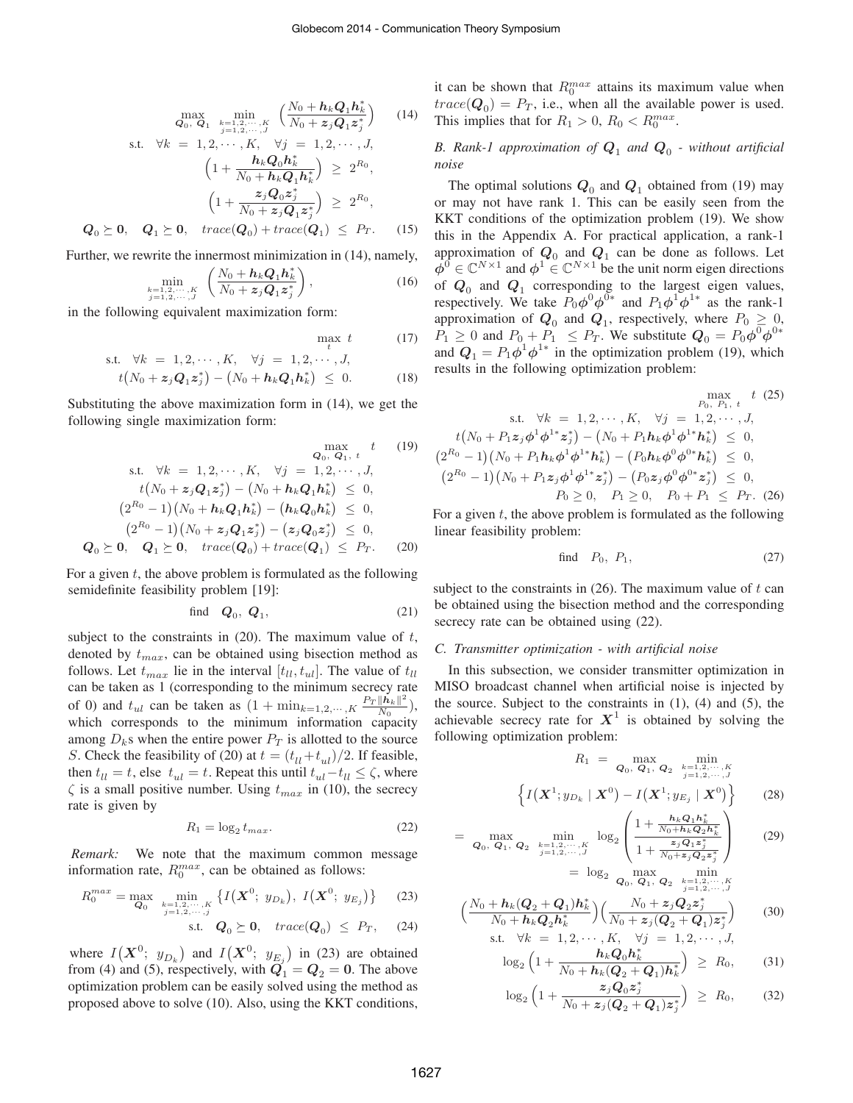$$
\max_{\mathbf{Q}_0, \ \mathbf{Q}_1} \min_{\substack{k=1,2,\dots,K \\ j=1,2,\dots,J}} \left( \frac{N_0 + h_k \mathbf{Q}_1 \mathbf{h}_k^*}{N_0 + z_j \mathbf{Q}_1 z_j^*} \right) \tag{14}
$$
\ns.t.  $\forall k = 1, 2, \dots, K, \ \forall j = 1, 2, \dots, J,$   
\n
$$
\left( 1 + \frac{\mathbf{h}_k \mathbf{Q}_0 \mathbf{h}_k^*}{N_0 + \mathbf{h}_k \mathbf{Q}_1 \mathbf{h}_k^*} \right) \ge 2^{R_0},
$$
\n
$$
\left( 1 + \frac{z_j \mathbf{Q}_0 z_j^*}{N_0 + z_j \mathbf{Q}_1 z_j^*} \right) \ge 2^{R_0},
$$
\n
$$
\mathbf{Q}_0 \succeq \mathbf{0}, \quad \mathbf{Q}_1 \succeq \mathbf{0}, \ \ \text{trace}(\mathbf{Q}_0) + \text{trace}(\mathbf{Q}_1) \le P_T. \tag{15}
$$

Further, we rewrite the innermost minimization in (14), namely,

$$
\min_{\substack{k=1,2,\cdots,K\\j=1,2,\cdots,J}} \left( \frac{N_0 + \mathbf{h}_k \mathbf{Q}_1 \mathbf{h}_k^*}{N_0 + \mathbf{z}_j \mathbf{Q}_1 \mathbf{z}_j^*} \right), \tag{16}
$$

in the following equivalent maximization form:

$$
\begin{array}{ll}\n\text{max } t & (17) \\
\text{s.t.} \quad \forall k = 1, 2, \cdots, K, \quad \forall j = 1, 2, \cdots, J, \\
t\left(N_0 + z_j \mathbf{Q}_1 z_j^*\right) - \left(N_0 + \mathbf{h}_k \mathbf{Q}_1 \mathbf{h}_k^*\right) \leq 0. \tag{18}\n\end{array}
$$

Substituting the above maximization form in (14), we get the following single maximization form:

$$
Q_0, Q_1, t
$$
 (19)  
s.t.  $\forall k = 1, 2, \dots, K, \forall j = 1, 2, \dots, J,$   

$$
t(N_0 + z_j Q_1 z_j^*) - (N_0 + h_k Q_1 h_k^*) \leq 0,
$$
  

$$
(2^{R_0} - 1)(N_0 + h_k Q_1 h_k^*) - (h_k Q_0 h_k^*) \leq 0,
$$
  

$$
(2^{R_0} - 1)(N_0 + z_j Q_1 z_j^*) - (z_j Q_0 z_j^*) \leq 0,
$$
  

$$
Q_0 \succeq 0, Q_1 \succeq 0, trace(Q_0) + trace(Q_1) \leq Pr.
$$
 (20)

For a given  $t$ , the above problem is formulated as the following semidefinite feasibility problem [19]:

find 
$$
\boldsymbol{Q}_0, \ \boldsymbol{Q}_1,\tag{21}
$$

subject to the constraints in  $(20)$ . The maximum value of t, denoted by  $t_{max}$ , can be obtained using bisection method as follows. Let  $t_{max}$  lie in the interval  $[t_{ll}, t_{ul}]$ . The value of  $t_{ll}$ can be taken as 1 (corresponding to the minimum secrecy rate of 0) and  $t_{ul}$  can be taken as  $(1 + \min_{k=1,2,\cdots,K} \frac{P_T ||\vec{h}_k||^2}{N_0})$  $\frac{\| \boldsymbol{h} _k \| }{N_0}$ ), which corresponds to the minimum information capacity among  $D_k$ s when the entire power  $P_T$  is allotted to the source S. Check the feasibility of (20) at  $t = (t_{ll} + t_{ul})/2$ . If feasible, then  $t_{ll} = t$ , else  $t_{ul} = t$ . Repeat this until  $t_{ul} - t_{ll} \le \zeta$ , where  $\zeta$  is a small positive number. Using  $t_{max}$  in (10), the secrecy rate is given by

$$
R_1 = \log_2 t_{max}.\tag{22}
$$

*Remark:* We note that the maximum common message information rate,  $R_0^{max}$ , can be obtained as follows:

$$
R_0^{max} = \max_{\mathbf{Q}_0} \min_{\substack{k=1,2,\cdots,K\\j=1,2,\cdots,j}} \left\{ I\left(\mathbf{X}^0; y_{D_k}\right), \ I\left(\mathbf{X}^0; y_{E_j}\right) \right\} \tag{23}
$$

$$
\text{s.t.} \quad \boldsymbol{Q}_0 \succeq \boldsymbol{0}, \quad trace(\boldsymbol{Q}_0) \ \leq \ P_T, \quad (24)
$$

where  $I(X^0; y_{D_k})$  and  $I(X^0; y_{E_j})$  in (23) are obtained from (4) and (5), respectively, with  $\vec{Q}_1 = Q_2 = 0$ . The above optimization problem can be easily solved using the method as proposed above to solve (10). Also, using the KKT conditions, it can be shown that  $R_0^{max}$  attains its maximum value when  $trace(Q_0) = P_T$ , i.e., when all the available power is used. This implies that for  $R_1 > 0$ ,  $R_0 < R_0^{max}$ .

# B. Rank-1 approximation of  $Q_1$  and  $Q_0$  - without artificial *noise*

The optimal solutions  $Q_0$  and  $Q_1$  obtained from (19) may or may not have rank 1. This can be easily seen from the KKT conditions of the optimization problem (19). We show this in the Appendix A. For practical application, a rank-1 approximation of  $Q_0$  and  $Q_1$  can be done as follows. Let  $\dot{\phi}^0 \in \mathbb{C}^{N \times 1}$  and  $\phi^1 \in \mathbb{C}^{N \times 1}$  be the unit norm eigen directions of  $Q_0$  and  $Q_1$  corresponding to the largest eigen values, respectively. We take  $P_0 \phi^0 \phi^{0*}$  and  $P_1 \phi^1 \phi^{1*}$  as the rank-1 approximation of  $Q_0$  and  $Q_1$ , respectively, where  $P_0 \geq 0$ ,  $P_1 \geq 0$  and  $P_0 + P_1 \leq P_T$ . We substitute  $Q_0 = P_0 \phi^0 \phi^{0*}$ and  $Q_1 = P_1 \phi^1 \phi^{1*}$  in the optimization problem (19), which results in the following optimization problem:

$$
\max_{P_0, P_1, t} t (25)
$$
  
 s.t.  $\forall k = 1, 2, \dots, K, \forall j = 1, 2, \dots, J,$   
 $t(N_0 + P_1 z_j \phi^1 \phi^{1*} z_j^*) - (N_0 + P_1 h_k \phi^1 \phi^{1*} h_k^*) \leq 0,$   
 $(2^{R_0} - 1)(N_0 + P_1 h_k \phi^1 \phi^{1*} h_k^*) - (P_0 h_k \phi^0 \phi^{0*} h_k^*) \leq 0,$   
 $(2^{R_0} - 1)(N_0 + P_1 z_j \phi^1 \phi^{1*} z_j^*) - (P_0 z_j \phi^0 \phi^{0*} z_j^*) \leq 0,$   
 $P_0 \geq 0, \quad P_1 \geq 0, \quad P_0 + P_1 \leq P_T.$  (26)

For a given  $t$ , the above problem is formulated as the following linear feasibility problem:

find 
$$
P_0
$$
,  $P_1$ , 
$$
(27)
$$

subject to the constraints in  $(26)$ . The maximum value of t can be obtained using the bisection method and the corresponding secrecy rate can be obtained using  $(22)$ .

#### *C. Transmitter optimization - with artificial noise*

In this subsection, we consider transmitter optimization in MISO broadcast channel when artificial noise is injected by the source. Subject to the constraints in  $(1)$ ,  $(4)$  and  $(5)$ , the achievable secrecy rate for  $X^1$  is obtained by solving the following optimization problem:

$$
R_1 = \max_{\mathbf{Q}_0, \ \mathbf{Q}_1, \ \mathbf{Q}_2} \ \min_{\substack{k=1,2,\cdots,K \\ j=1,2,\cdots,J}} \left\{ I\left(\mathbf{X}^1; y_{D_k} \mid \mathbf{X}^0\right) - I\left(\mathbf{X}^1; y_{E_j} \mid \mathbf{X}^0\right) \right\}
$$
 (28)

$$
= \max_{\mathbf{Q}_0, \ \mathbf{Q}_1, \ \mathbf{Q}_2} \ \min_{\substack{k=1,2,\cdots,K\\j=1,2,\cdots,J}} \ \log_2 \left( \frac{1 + \frac{h_k \mathbf{Q}_1 h_k^*}{N_0 + h_k \mathbf{Q}_2 h_k^*}}{1 + \frac{z_j \mathbf{Q}_1 z_j^*}{N_0 + z_j \mathbf{Q}_2 z_j^*}} \right) \tag{29}
$$
\n
$$
= \ \log_2 \ \max_{\mathbf{Q}_0, \ \mathbf{Q}_1, \ \mathbf{Q}_2} \ \min_{\substack{k=1,2,\cdots,K\\j=1,2,\cdots,J}} \ (29)
$$

$$
\left(\frac{N_0 + \mathbf{h}_k(\mathbf{Q}_2 + \mathbf{Q}_1)\mathbf{h}_k^*}{N_0 + \mathbf{h}_k\mathbf{Q}_2\mathbf{h}_k^*}\right) \left(\frac{N_0 + z_j\mathbf{Q}_2z_j^*}{N_0 + z_j(\mathbf{Q}_2 + \mathbf{Q}_1)z_j^*}\right) \tag{30}
$$

s.t. 
$$
\forall k = 1, 2, \dots, K, \quad \forall j = 1, 2, \dots, J,
$$
  

$$
\log_2 \left( 1 + \frac{\mathbf{h}_k \mathbf{Q}_0 \mathbf{h}_k^*}{N_{k-1} \mathbf{h}_k (\mathbf{Q}_k \mathbf{Q}_k) \mathbf{h}_k^*} \right) \ge R_0,
$$
 (31)

$$
\log_2\left(1 + \frac{z_j Q_0 z_j^*}{N_0 + h_k (Q_2 + Q_1) h_k^*}\right) \geq R_0, \quad (31)
$$
  

$$
\log_2\left(1 + \frac{z_j Q_0 z_j^*}{N_0 + z_j (Q_2 + Q_1) z_j^*}\right) \geq R_0, \quad (32)
$$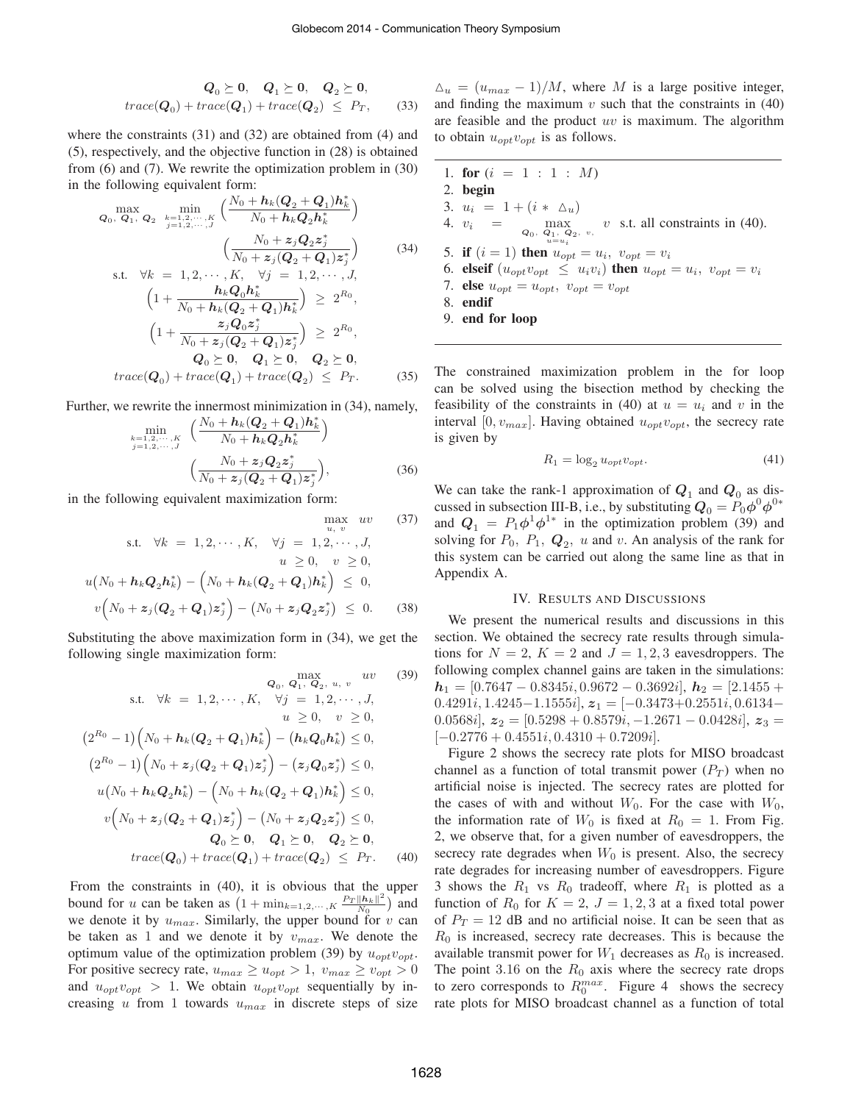$$
Q_0 \succeq 0, \quad Q_1 \succeq 0, \quad Q_2 \succeq 0,
$$
  
trace(Q<sub>0</sub>) + trace(Q<sub>1</sub>) + trace(Q<sub>2</sub>)  $\leq$  P<sub>T</sub>, (33)

where the constraints (31) and (32) are obtained from (4) and (5), respectively, and the objective function in (28) is obtained from (6) and (7). We rewrite the optimization problem in (30) in the following equivalent form:

$$
Q_0, Q_1, Q_2 \quad \min_{j=1,2,\dots,K} \left( \frac{N_0 + h_k(Q_2 + Q_1)h_k^*}{N_0 + h_kQ_2h_k^*} \right)
$$
\n
$$
\left( \frac{N_0 + z_j Q_2 z_j^*}{N_0 + z_j(Q_2 + Q_1)z_j^*} \right)
$$
\n
$$
s.t. \quad \forall k = 1, 2, \dots, K, \quad \forall j = 1, 2, \dots, J,
$$
\n
$$
\left( 1 + \frac{h_k Q_0 h_k^*}{N_0 + h_k(Q_2 + Q_1)h_k^*} \right) \ge 2^{R_0},
$$
\n
$$
\left( 1 + \frac{z_j Q_0 z_j^*}{N_0 + z_j(Q_2 + Q_1)z_j^*} \right) \ge 2^{R_0},
$$
\n
$$
Q_0 \ge 0, \quad Q_1 \ge 0, \quad Q_2 \ge 0,
$$
\n
$$
trace(Q_0) + trace(Q_1) + trace(Q_2) \le P_T. \tag{35}
$$

Further, we rewrite the innermost minimization in (34), namely,

$$
\min_{\substack{k=1,2,\cdots,K\\j=1,2,\cdots,J}} \left( \frac{N_0 + \mathbf{h}_k (\mathbf{Q}_2 + \mathbf{Q}_1) \mathbf{h}_k^*}{N_0 + \mathbf{h}_k \mathbf{Q}_2 \mathbf{h}_k^*} \right)
$$
\n
$$
\left( \frac{N_0 + z_j \mathbf{Q}_2 z_j^*}{N_0 + z_j (\mathbf{Q}_2 + \mathbf{Q}_1) z_j^*} \right),
$$
\n(36)

max

in the following equivalent maximization form:

$$
\max_{u, v} uv \quad (37)
$$
  
s.t.  $\forall k = 1, 2, \dots, K, \quad \forall j = 1, 2, \dots, J,$   
 $u \ge 0, \quad v \ge 0,$   
 $u(N_0 + h_k Q_2 h_k^*) - (N_0 + h_k (Q_2 + Q_1) h_k^*) \le 0,$   
 $v(N_0 + z_j (Q_2 + Q_1) z_j^*) - (N_0 + z_j Q_2 z_j^*) \le 0.$  (38)

Substituting the above maximization form in (34), we get the following single maximization form:

$$
Q_0, Q_1, Q_2, u, v \quad (39)
$$
  
s.t.  $\forall k = 1, 2, \dots, K, \quad \forall j = 1, 2, \dots, J,$   
 $u \ge 0, \quad v \ge 0,$   
 $(2^{R_0} - 1) (N_0 + h_k(Q_2 + Q_1)h_k^*) - (h_kQ_0h_k^*) \le 0,$   
 $(2^{R_0} - 1) (N_0 + z_j(Q_2 + Q_1)z_j^*) - (z_jQ_0z_j^*) \le 0,$   
 $u(N_0 + h_kQ_2h_k^*) - (N_0 + h_k(Q_2 + Q_1)h_k^*) \le 0,$   
 $v(N_0 + z_j(Q_2 + Q_1)z_j^*) - (N_0 + z_jQ_2z_j^*) \le 0,$   
 $Q_0 \ge 0, \quad Q_1 \ge 0, \quad Q_2 \ge 0,$   
 $trace(Q_0) + trace(Q_1) + trace(Q_2) \le Pr. \quad (40)$ 

From the constraints in (40), it is obvious that the upper bound for u can be taken as  $(1 + \min_{k=1,2,\dots,K} \frac{P_T ||h_k||^2}{N_0})$  $\frac{\|h_k\|^2}{N_0}$ ) and we denote it by  $u_{max}$ . Similarly, the upper bound for v can be taken as 1 and we denote it by  $v_{max}$ . We denote the optimum value of the optimization problem (39) by  $u_{opt}v_{opt}$ . For positive secrecy rate,  $u_{max} \ge u_{opt} > 1$ ,  $v_{max} \ge v_{opt} > 0$ and  $u_{opt}v_{opt} > 1$ . We obtain  $u_{opt}v_{opt}$  sequentially by increasing u from 1 towards  $u_{max}$  in discrete steps of size

 $\Delta_u = (u_{max} - 1)/M$ , where M is a large positive integer, and finding the maximum  $v$  such that the constraints in  $(40)$ are feasible and the product  $uv$  is maximum. The algorithm to obtain  $u_{opt}v_{opt}$  is as follows.

\n- 1. for 
$$
(i = 1 : 1 : M)
$$
\n- 2. begin
\n- 3.  $u_i = 1 + (i * \Delta_u)$
\n- 4.  $v_i = \max_{Q_0, Q_1, Q_2, v_i} v$  s.t. all constraints in (40).
\n- 5. if  $(i = 1)$  then  $u_{opt} = u_i$ ,  $v_{opt} = v_i$
\n- 6. **elseif**  $(u_{opt}v_{opt} \leq u_i v_i)$  then  $u_{opt} = u_i$ ,  $v_{opt} = v_i$
\n- 7. **else**  $u_{opt} = u_{opt}$ ,  $v_{opt} = v_{opt}$
\n- 8. **endif**
\n- 9. **end for loop**
\n

The constrained maximization problem in the for loop can be solved using the bisection method by checking the feasibility of the constraints in (40) at  $u = u_i$  and v in the interval [0,  $v_{max}$ ]. Having obtained  $u_{opt}v_{opt}$ , the secrecy rate is given by

$$
R_1 = \log_2 u_{opt} v_{opt}.\tag{41}
$$

We can take the rank-1 approximation of  $Q_1$  and  $Q_0$  as discussed in subsection III-B, i.e., by substituting  $Q_0 = P_0 \phi^0 \phi^{0*}$ and  $Q_1 = P_1 \phi^1 \phi^{1*}$  in the optimization problem (39) and solving for  $P_0$ ,  $P_1$ ,  $Q_2$ , u and v. An analysis of the rank for this system can be carried out along the same line as that in Appendix A.

# IV. RESULTS AND DISCUSSIONS

We present the numerical results and discussions in this section. We obtained the secrecy rate results through simulations for  $N = 2$ ,  $K = 2$  and  $J = 1, 2, 3$  eavesdroppers. The following complex channel gains are taken in the simulations:  $h_1 = [0.7647 - 0.8345i, 0.9672 - 0.3692i], h_2 = [2.1455 +$  $0.4291i, 1.4245-1.1555i, \n\boldsymbol{z}_1 = [-0.3473+0.2551i, 0.6134-$ 0.0568i],  $z_2 = [0.5298 + 0.8579i, -1.2671 - 0.0428i], z_3 =$  $[-0.2776 + 0.4551i, 0.4310 + 0.7209i].$ 

Figure 2 shows the secrecy rate plots for MISO broadcast channel as a function of total transmit power  $(P_T)$  when no artificial noise is injected. The secrecy rates are plotted for the cases of with and without  $W_0$ . For the case with  $W_0$ , the information rate of  $W_0$  is fixed at  $R_0 = 1$ . From Fig. 2, we observe that, for a given number of eavesdroppers, the secrecy rate degrades when  $W_0$  is present. Also, the secrecy rate degrades for increasing number of eavesdroppers. Figure 3 shows the  $R_1$  vs  $R_0$  tradeoff, where  $R_1$  is plotted as a function of  $R_0$  for  $K = 2$ ,  $J = 1, 2, 3$  at a fixed total power of  $P_T = 12$  dB and no artificial noise. It can be seen that as  $R_0$  is increased, secrecy rate decreases. This is because the available transmit power for  $W_1$  decreases as  $R_0$  is increased. The point 3.16 on the  $R_0$  axis where the secrecy rate drops to zero corresponds to  $R_0^{max}$ . Figure 4 shows the secrecy rate plots for MISO broadcast channel as a function of total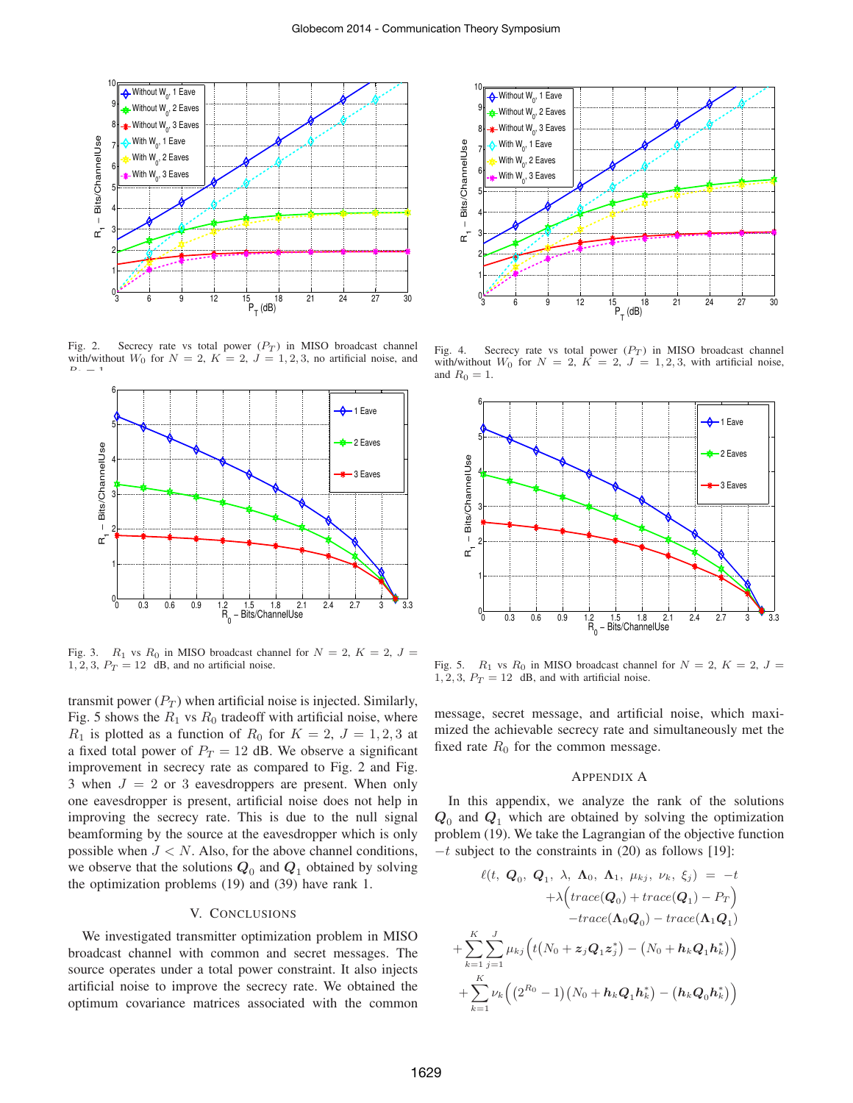

Fig. 2. Secrecy rate vs total power  $(P_T)$  in MISO broadcast channel with/without  $W_0$  for  $N = 2$ ,  $K = 2$ ,  $J = 1, 2, 3$ , no artificial noise, and  $\mathcal{D} = \mathcal{A}$ 



Fig. 3.  $R_1$  vs  $R_0$  in MISO broadcast channel for  $N = 2$ ,  $K = 2$ ,  $J =$ 1, 2, 3,  $P_T = 12$  dB, and no artificial noise.

transmit power  $(P_T)$  when artificial noise is injected. Similarly, Fig. 5 shows the  $R_1$  vs  $R_0$  tradeoff with artificial noise, where  $R_1$  is plotted as a function of  $R_0$  for  $K = 2$ ,  $J = 1, 2, 3$  at a fixed total power of  $P_T = 12$  dB. We observe a significant improvement in secrecy rate as compared to Fig. 2 and Fig. 3 when  $J = 2$  or 3 eavesdroppers are present. When only one eavesdropper is present, artificial noise does not help in improving the secrecy rate. This is due to the null signal beamforming by the source at the eavesdropper which is only possible when  $J < N$ . Also, for the above channel conditions, we observe that the solutions  $Q_0$  and  $Q_1$  obtained by solving the optimization problems (19) and (39) have rank 1.

# V. CONCLUSIONS

We investigated transmitter optimization problem in MISO broadcast channel with common and secret messages. The source operates under a total power constraint. It also injects artificial noise to improve the secrecy rate. We obtained the optimum covariance matrices associated with the common



Fig. 4. Secrecy rate vs total power  $(P_T)$  in MISO broadcast channel with/without  $W_0$  for  $N = 2$ ,  $K = 2$ ,  $J = 1, 2, 3$ , with artificial noise, and  $R_0 = 1$ .



Fig. 5.  $R_1$  vs  $R_0$  in MISO broadcast channel for  $N = 2$ ,  $K = 2$ ,  $J =$  $1, 2, 3, P_T = 12$  dB, and with artificial noise.

message, secret message, and artificial noise, which maximized the achievable secrecy rate and simultaneously met the fixed rate  $R_0$  for the common message.

### APPENDIX A

In this appendix, we analyze the rank of the solutions  $Q_0$  and  $Q_1$  which are obtained by solving the optimization problem (19). We take the Lagrangian of the objective function  $-t$  subject to the constraints in (20) as follows [19]:

$$
\ell(t, Q_0, Q_1, \lambda, \Lambda_0, \Lambda_1, \mu_{kj}, \nu_k, \xi_j) = -t
$$
  
+  $\lambda \Big( trace(Q_0) + trace(Q_1) - P_T \Big)$   
-trace( $\Lambda_0 Q_0$ ) - trace( $\Lambda_1 Q_1$ )  
+  $\sum_{k=1}^{K} \sum_{j=1}^{J} \mu_{kj} \Big( t\big(N_0 + z_j Q_1 z_j^*\big) - \big(N_0 + h_k Q_1 h_k^*\big) \Big)$   
+  $\sum_{k=1}^{K} \nu_k \Big( \big(2^{R_0} - 1\big) \big(N_0 + h_k Q_1 h_k^*\big) - \big(h_k Q_0 h_k^*\big) \Big)$